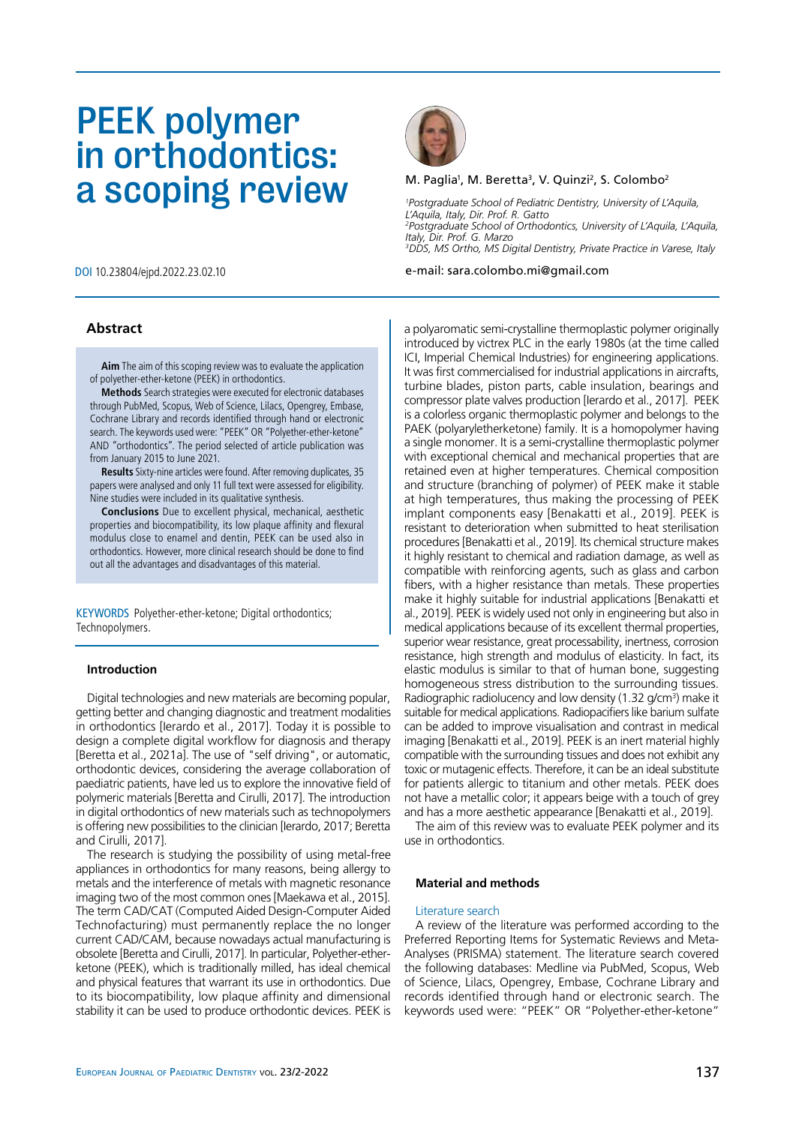# PEEK polymer in orthodontics: a scoping review

# **Abstract**

**Aim** The aim of this scoping review was to evaluate the application of polyether-ether-ketone (PEEK) in orthodontics.

**Methods** Search strategies were executed for electronic databases through PubMed, Scopus, Web of Science, Lilacs, Opengrey, Embase, Cochrane Library and records identified through hand or electronic search. The keywords used were: "PEEK" OR "Polyether-ether-ketone" AND "orthodontics". The period selected of article publication was from January 2015 to June 2021.

**Results** Sixty-nine articles were found. After removing duplicates, 35 papers were analysed and only 11 full text were assessed for eligibility. Nine studies were included in its qualitative synthesis.

**Conclusions** Due to excellent physical, mechanical, aesthetic properties and biocompatibility, its low plaque affinity and flexural modulus close to enamel and dentin, PEEK can be used also in orthodontics. However, more clinical research should be done to find out all the advantages and disadvantages of this material.

KEYWORDS Polyether-ether-ketone; Digital orthodontics; Technopolymers.

## **Introduction**

Digital technologies and new materials are becoming popular, getting better and changing diagnostic and treatment modalities in orthodontics [Ierardo et al., 2017]. Today it is possible to design a complete digital workflow for diagnosis and therapy [Beretta et al., 2021a]. The use of "self driving", or automatic, orthodontic devices, considering the average collaboration of paediatric patients, have led us to explore the innovative field of polymeric materials [Beretta and Cirulli, 2017]. The introduction in digital orthodontics of new materials such as technopolymers is offering new possibilities to the clinician [Ierardo, 2017; Beretta and Cirulli, 2017].

The research is studying the possibility of using metal-free appliances in orthodontics for many reasons, being allergy to metals and the interference of metals with magnetic resonance imaging two of the most common ones [Maekawa et al., 2015]. The term CAD/CAT (Computed Aided Design-Computer Aided Technofacturing) must permanently replace the no longer current CAD/CAM, because nowadays actual manufacturing is obsolete [Beretta and Cirulli, 2017]. In particular, Polyether-etherketone (PEEK), which is traditionally milled, has ideal chemical and physical features that warrant its use in orthodontics. Due to its biocompatibility, low plaque affinity and dimensional stability it can be used to produce orthodontic devices. PEEK is



#### M. Paglia<sup>1</sup>, M. Beretta<sup>3</sup>, V. Quinzi<sup>2</sup>, S. Colombo<sup>2</sup>

*1 Postgraduate School of Pediatric Dentistry, University of L'Aquila, L'Aquila, Italy, Dir. Prof. R. Gatto 2 Postgraduate School of Orthodontics, University of L'Aquila, L'Aquila, Italy, Dir. Prof. G. Marzo 3 DDS, MS Ortho, MS Digital Dentistry, Private Practice in Varese, Italy*

DOI 10.23804/ejpd.2022.23.02.10 e-mail: sara.colombo.mi@gmail.com

a polyaromatic semi-crystalline thermoplastic polymer originally introduced by victrex PLC in the early 1980s (at the time called ICI, Imperial Chemical Industries) for engineering applications. It was first commercialised for industrial applications in aircrafts, turbine blades, piston parts, cable insulation, bearings and compressor plate valves production [Ierardo et al., 2017]. PEEK is a colorless organic thermoplastic polymer and belongs to the PAEK (polyaryletherketone) family. It is a homopolymer having a single monomer. It is a semi-crystalline thermoplastic polymer with exceptional chemical and mechanical properties that are retained even at higher temperatures. Chemical composition and structure (branching of polymer) of PEEK make it stable at high temperatures, thus making the processing of PEEK implant components easy [Benakatti et al., 2019]. PEEK is resistant to deterioration when submitted to heat sterilisation procedures [Benakatti et al., 2019]. Its chemical structure makes it highly resistant to chemical and radiation damage, as well as compatible with reinforcing agents, such as glass and carbon fibers, with a higher resistance than metals. These properties make it highly suitable for industrial applications [Benakatti et al., 2019]. PEEK is widely used not only in engineering but also in medical applications because of its excellent thermal properties, superior wear resistance, great processability, inertness, corrosion resistance, high strength and modulus of elasticity. In fact, its elastic modulus is similar to that of human bone, suggesting homogeneous stress distribution to the surrounding tissues. Radiographic radiolucency and low density (1.32 g/cm<sup>3</sup>) make it suitable for medical applications. Radiopacifiers like barium sulfate can be added to improve visualisation and contrast in medical imaging [Benakatti et al., 2019]. PEEK is an inert material highly compatible with the surrounding tissues and does not exhibit any toxic or mutagenic effects. Therefore, it can be an ideal substitute for patients allergic to titanium and other metals. PEEK does not have a metallic color; it appears beige with a touch of grey and has a more aesthetic appearance [Benakatti et al., 2019].

The aim of this review was to evaluate PEEK polymer and its use in orthodontics.

#### **Material and methods**

## Literature search

A review of the literature was performed according to the Preferred Reporting Items for Systematic Reviews and Meta-Analyses (PRISMA) statement. The literature search covered the following databases: Medline via PubMed, Scopus, Web of Science, Lilacs, Opengrey, Embase, Cochrane Library and records identified through hand or electronic search. The keywords used were: "PEEK" OR "Polyether-ether-ketone"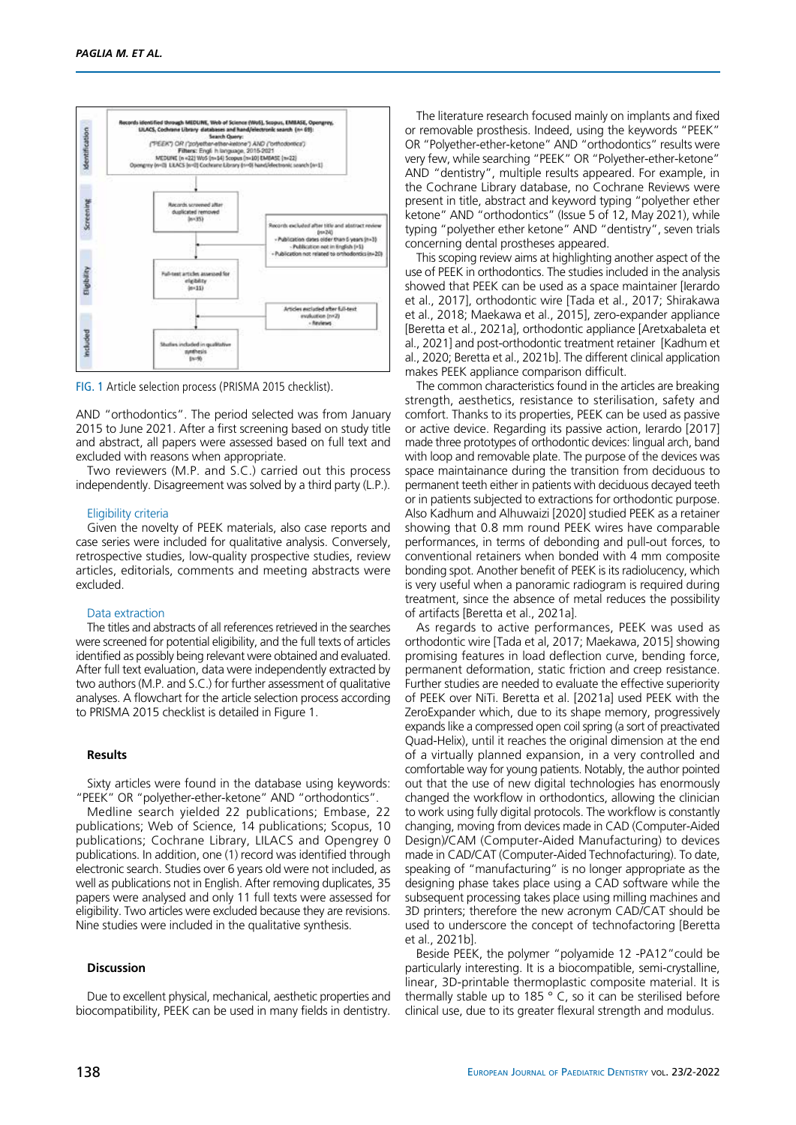

FIG. 1 Article selection process (PRISMA 2015 checklist).

AND "orthodontics". The period selected was from January 2015 to June 2021. After a first screening based on study title and abstract, all papers were assessed based on full text and excluded with reasons when appropriate.

Two reviewers (M.P. and S.C.) carried out this process independently. Disagreement was solved by a third party (L.P.).

#### Eligibility criteria

Given the novelty of PEEK materials, also case reports and case series were included for qualitative analysis. Conversely, retrospective studies, low-quality prospective studies, review articles, editorials, comments and meeting abstracts were excluded.

### Data extraction

The titles and abstracts of all references retrieved in the searches were screened for potential eligibility, and the full texts of articles identified as possibly being relevant were obtained and evaluated. After full text evaluation, data were independently extracted by two authors (M.P. and S.C.) for further assessment of qualitative analyses. A flowchart for the article selection process according to PRISMA 2015 checklist is detailed in Figure 1.

## **Results**

Sixty articles were found in the database using keywords: "PEEK" OR "polyether-ether-ketone" AND "orthodontics".

Medline search yielded 22 publications; Embase, 22 publications; Web of Science, 14 publications; Scopus, 10 publications; Cochrane Library, LILACS and Opengrey 0 publications. In addition, one (1) record was identified through electronic search. Studies over 6 years old were not included, as well as publications not in English. After removing duplicates, 35 papers were analysed and only 11 full texts were assessed for eligibility. Two articles were excluded because they are revisions. Nine studies were included in the qualitative synthesis.

## **Discussion**

Due to excellent physical, mechanical, aesthetic properties and biocompatibility, PEEK can be used in many fields in dentistry.

The literature research focused mainly on implants and fixed or removable prosthesis. Indeed, using the keywords "PEEK" OR "Polyether-ether-ketone" AND "orthodontics" results were very few, while searching "PEEK" OR "Polyether-ether-ketone" AND "dentistry", multiple results appeared. For example, in the Cochrane Library database, no Cochrane Reviews were present in title, abstract and keyword typing "polyether ether ketone" AND "orthodontics" (Issue 5 of 12, May 2021), while typing "polyether ether ketone" AND "dentistry", seven trials concerning dental prostheses appeared.

This scoping review aims at highlighting another aspect of the use of PEEK in orthodontics. The studies included in the analysis showed that PEEK can be used as a space maintainer [Ierardo et al., 2017], orthodontic wire [Tada et al., 2017; Shirakawa et al., 2018; Maekawa et al., 2015], zero-expander appliance [Beretta et al., 2021a], orthodontic appliance [Aretxabaleta et al., 2021] and post-orthodontic treatment retainer [Kadhum et al., 2020; Beretta et al., 2021b]. The different clinical application makes PEEK appliance comparison difficult.

The common characteristics found in the articles are breaking strength, aesthetics, resistance to sterilisation, safety and comfort. Thanks to its properties, PEEK can be used as passive or active device. Regarding its passive action, Ierardo [2017] made three prototypes of orthodontic devices: lingual arch, band with loop and removable plate. The purpose of the devices was space maintainance during the transition from deciduous to permanent teeth either in patients with deciduous decayed teeth or in patients subjected to extractions for orthodontic purpose. Also Kadhum and Alhuwaizi [2020] studied PEEK as a retainer showing that 0.8 mm round PEEK wires have comparable performances, in terms of debonding and pull-out forces, to conventional retainers when bonded with 4 mm composite bonding spot. Another benefit of PEEK is its radiolucency, which is very useful when a panoramic radiogram is required during treatment, since the absence of metal reduces the possibility of artifacts [Beretta et al., 2021a].

As regards to active performances, PEEK was used as orthodontic wire [Tada et al, 2017; Maekawa, 2015] showing promising features in load deflection curve, bending force, permanent deformation, static friction and creep resistance. Further studies are needed to evaluate the effective superiority of PEEK over NiTi. Beretta et al. [2021a] used PEEK with the ZeroExpander which, due to its shape memory, progressively expands like a compressed open coil spring (a sort of preactivated Quad-Helix), until it reaches the original dimension at the end of a virtually planned expansion, in a very controlled and comfortable way for young patients. Notably, the author pointed out that the use of new digital technologies has enormously changed the workflow in orthodontics, allowing the clinician to work using fully digital protocols. The workflow is constantly changing, moving from devices made in CAD (Computer-Aided Design)/CAM (Computer-Aided Manufacturing) to devices made in CAD/CAT (Computer-Aided Technofacturing). To date, speaking of "manufacturing" is no longer appropriate as the designing phase takes place using a CAD software while the subsequent processing takes place using milling machines and 3D printers; therefore the new acronym CAD/CAT should be used to underscore the concept of technofactoring [Beretta et al., 2021b].

Beside PEEK, the polymer "polyamide 12 -PA12"could be particularly interesting. It is a biocompatible, semi-crystalline, linear, 3D-printable thermoplastic composite material. It is thermally stable up to 185 $\degree$  C, so it can be sterilised before clinical use, due to its greater flexural strength and modulus.